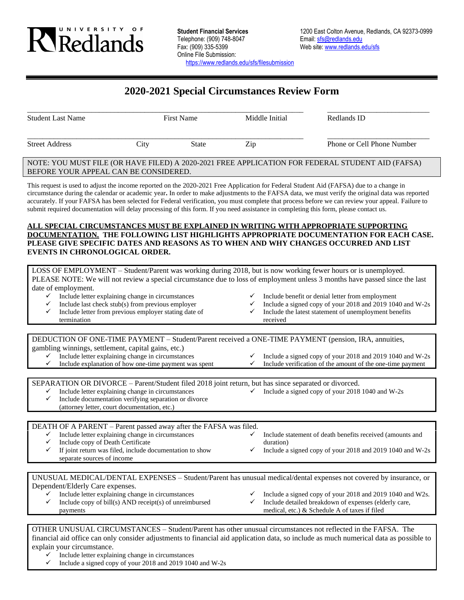

## **2020-2021 Special Circumstances Review Form**

| <b>Student Last Name</b>                                                                                                                                       | <b>First Name</b>                                                                                             |  | Middle Initial    | Redlands ID |                                                                                                                                                                                                                                                                                                                                                                                                                                                  |  |
|----------------------------------------------------------------------------------------------------------------------------------------------------------------|---------------------------------------------------------------------------------------------------------------|--|-------------------|-------------|--------------------------------------------------------------------------------------------------------------------------------------------------------------------------------------------------------------------------------------------------------------------------------------------------------------------------------------------------------------------------------------------------------------------------------------------------|--|
| <b>Street Address</b>                                                                                                                                          | City<br><b>State</b>                                                                                          |  |                   |             | Phone or Cell Phone Number                                                                                                                                                                                                                                                                                                                                                                                                                       |  |
| BEFORE YOUR APPEAL CAN BE CONSIDERED.                                                                                                                          |                                                                                                               |  |                   |             | NOTE: YOU MUST FILE (OR HAVE FILED) A 2020-2021 FREE APPLICATION FOR FEDERAL STUDENT AID (FAFSA)                                                                                                                                                                                                                                                                                                                                                 |  |
| submit required documentation will delay processing of this form. If you need assistance in completing this form, please contact us.                           |                                                                                                               |  |                   |             | This request is used to adjust the income reported on the 2020-2021 Free Application for Federal Student Aid (FAFSA) due to a change in<br>circumstance during the calendar or academic year. In order to make adjustments to the FAFSA data, we must verify the original data was reported<br>accurately. If your FAFSA has been selected for Federal verification, you must complete that process before we can review your appeal. Failure to |  |
| EVENTS IN CHRONOLOGICAL ORDER.                                                                                                                                 |                                                                                                               |  |                   |             | <u>ALL SPECIAL CIRCUMSTANCES MUST BE EXPLAINED IN WRITING WITH APPROPRIATE SUPPORTING</u><br>DOCUMENTATION. THE FOLLOWING LIST HIGHLIGHTS APPROPRIATE DOCUMENTATION FOR EACH CASE.<br>PLEASE GIVE SPECIFIC DATES AND REASONS AS TO WHEN AND WHY CHANGES OCCURRED AND LIST                                                                                                                                                                        |  |
| date of employment.<br>$\checkmark$ Include letter explaining change in circumstances<br>✓<br>✓<br>termination                                                 | Include last check stub(s) from previous employer<br>Include letter from previous employer stating date of    |  | $\checkmark$<br>✓ | received    | LOSS OF EMPLOYMENT – Student/Parent was working during 2018, but is now working fewer hours or is unemployed.<br>PLEASE NOTE: We will not review a special circumstance due to loss of employment unless 3 months have passed since the last<br>Include benefit or denial letter from employment<br>Include a signed copy of your 2018 and 2019 1040 and W-2s<br>Include the latest statement of unemployment benefits                           |  |
| gambling winnings, settlement, capital gains, etc.)<br>✓                                                                                                       | Include letter explaining change in circumstances<br>Include explanation of how one-time payment was spent    |  | ✓                 |             | DEDUCTION OF ONE-TIME PAYMENT - Student/Parent received a ONE-TIME PAYMENT (pension, IRA, annuities,<br>Include a signed copy of your 2018 and 2019 1040 and W-2s<br>Include verification of the amount of the one-time payment                                                                                                                                                                                                                  |  |
| SEPARATION OR DIVORCE – Parent/Student filed 2018 joint return, but has since separated or divorced.<br>✓<br>✓<br>(attorney letter, court documentation, etc.) | Include letter explaining change in circumstances<br>Include documentation verifying separation or divorce    |  |                   |             | $\checkmark$ Include a signed copy of your 2018 1040 and W-2s                                                                                                                                                                                                                                                                                                                                                                                    |  |
| DEATH OF A PARENT - Parent passed away after the FAFSA was filed.<br>Include copy of Death Certificate<br>✓<br>✓<br>separate sources of income                 | Include letter explaining change in circumstances<br>If joint return was filed, include documentation to show |  | ✓                 | duration)   | Include statement of death benefits received (amounts and<br>Include a signed copy of your 2018 and 2019 1040 and W-2s                                                                                                                                                                                                                                                                                                                           |  |
| Dependent/Elderly Care expenses.<br>✓<br>payments                                                                                                              | Include letter explaining change in circumstances<br>Include copy of bill(s) AND receipt(s) of unreimbursed   |  | ✓<br>✓            |             | UNUSUAL MEDICAL/DENTAL EXPENSES - Student/Parent has unusual medical/dental expenses not covered by insurance, or<br>Include a signed copy of your 2018 and 2019 1040 and W2s.<br>Include detailed breakdown of expenses (elderly care,<br>medical, etc.) & Schedule A of taxes if filed                                                                                                                                                         |  |

OTHER UNUSUAL CIRCUMSTANCES – Student/Parent has other unusual circumstances not reflected in the FAFSA. The financial aid office can only consider adjustments to financial aid application data, so include as much numerical data as possible to explain your circumstance.

- $\checkmark$  Include letter explaining change in circumstances  $\checkmark$  Include a signed copy of your 2018 and 2019 104
- Include a signed copy of your 2018 and 2019 1040 and W-2s